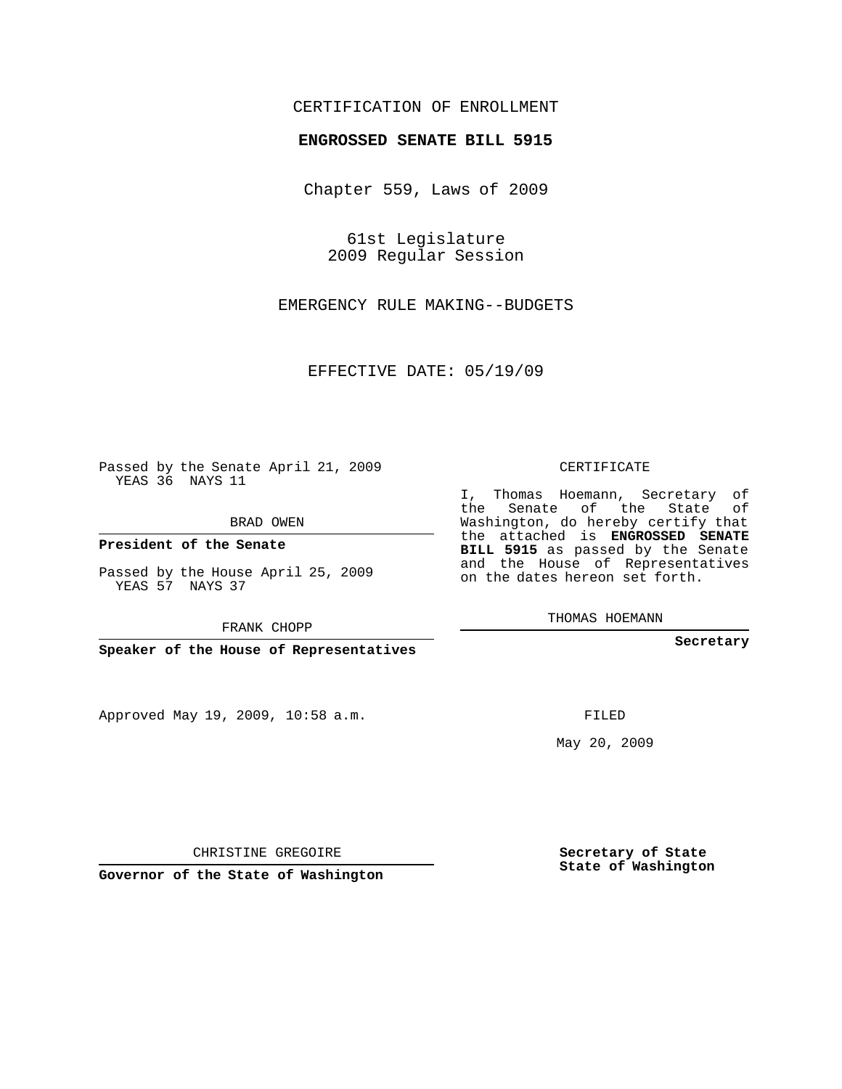## CERTIFICATION OF ENROLLMENT

## **ENGROSSED SENATE BILL 5915**

Chapter 559, Laws of 2009

61st Legislature 2009 Regular Session

EMERGENCY RULE MAKING--BUDGETS

EFFECTIVE DATE: 05/19/09

Passed by the Senate April 21, 2009 YEAS 36 NAYS 11

BRAD OWEN

**President of the Senate**

Passed by the House April 25, 2009 YEAS 57 NAYS 37

FRANK CHOPP

**Speaker of the House of Representatives**

Approved May 19, 2009, 10:58 a.m.

CERTIFICATE

I, Thomas Hoemann, Secretary of the Senate of the State of Washington, do hereby certify that the attached is **ENGROSSED SENATE BILL 5915** as passed by the Senate and the House of Representatives on the dates hereon set forth.

THOMAS HOEMANN

**Secretary**

FILED

May 20, 2009

**Secretary of State State of Washington**

CHRISTINE GREGOIRE

**Governor of the State of Washington**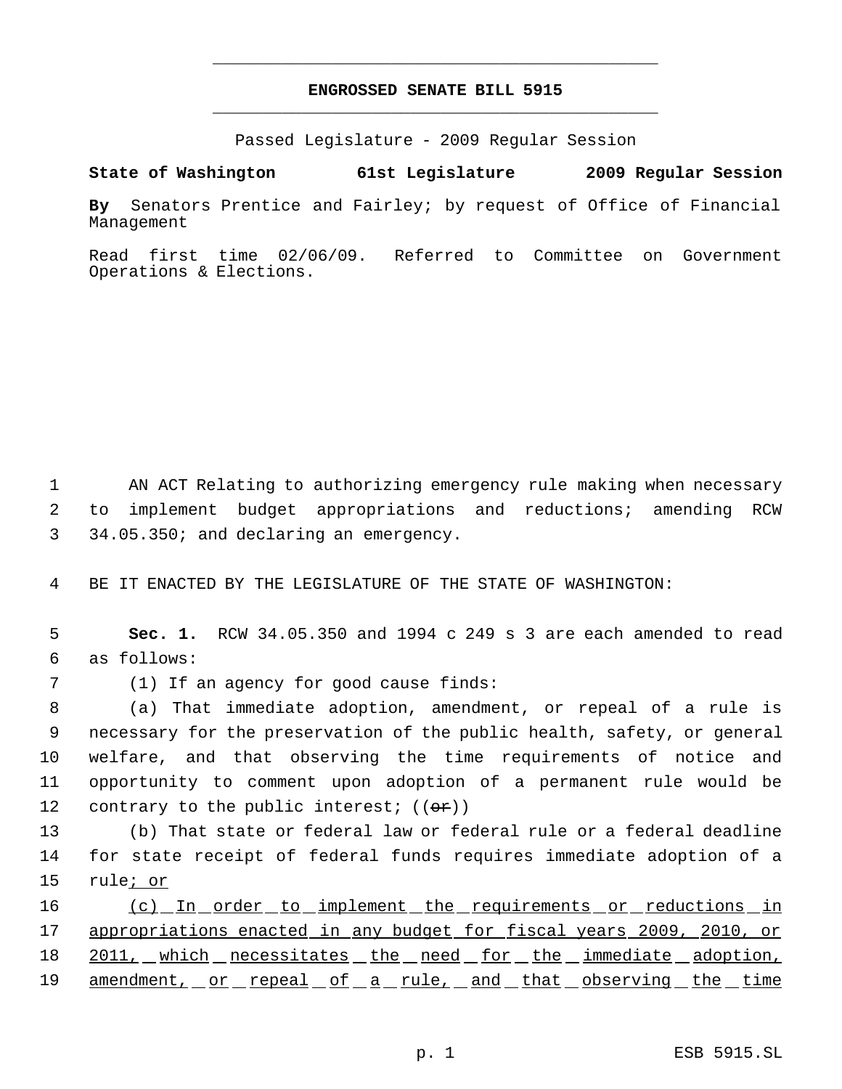## **ENGROSSED SENATE BILL 5915** \_\_\_\_\_\_\_\_\_\_\_\_\_\_\_\_\_\_\_\_\_\_\_\_\_\_\_\_\_\_\_\_\_\_\_\_\_\_\_\_\_\_\_\_\_

\_\_\_\_\_\_\_\_\_\_\_\_\_\_\_\_\_\_\_\_\_\_\_\_\_\_\_\_\_\_\_\_\_\_\_\_\_\_\_\_\_\_\_\_\_

Passed Legislature - 2009 Regular Session

**State of Washington 61st Legislature 2009 Regular Session**

**By** Senators Prentice and Fairley; by request of Office of Financial Management

Read first time 02/06/09. Referred to Committee on Government Operations & Elections.

 1 AN ACT Relating to authorizing emergency rule making when necessary 2 to implement budget appropriations and reductions; amending RCW 3 34.05.350; and declaring an emergency.

4 BE IT ENACTED BY THE LEGISLATURE OF THE STATE OF WASHINGTON:

 5 **Sec. 1.** RCW 34.05.350 and 1994 c 249 s 3 are each amended to read 6 as follows:

7 (1) If an agency for good cause finds:

 (a) That immediate adoption, amendment, or repeal of a rule is necessary for the preservation of the public health, safety, or general welfare, and that observing the time requirements of notice and opportunity to comment upon adoption of a permanent rule would be 12 contrary to the public interest;  $((\theta \cdot \hat{r}))$ 

13 (b) That state or federal law or federal rule or a federal deadline 14 for state receipt of federal funds requires immediate adoption of a 15 rule; or

16 (c) In order to implement the requirements or reductions in 17 appropriations enacted in any budget for fiscal years 2009, 2010, or 18 2011, which necessitates the need for the immediate adoption, 19 amendment, or repeal of a rule, and that observing the time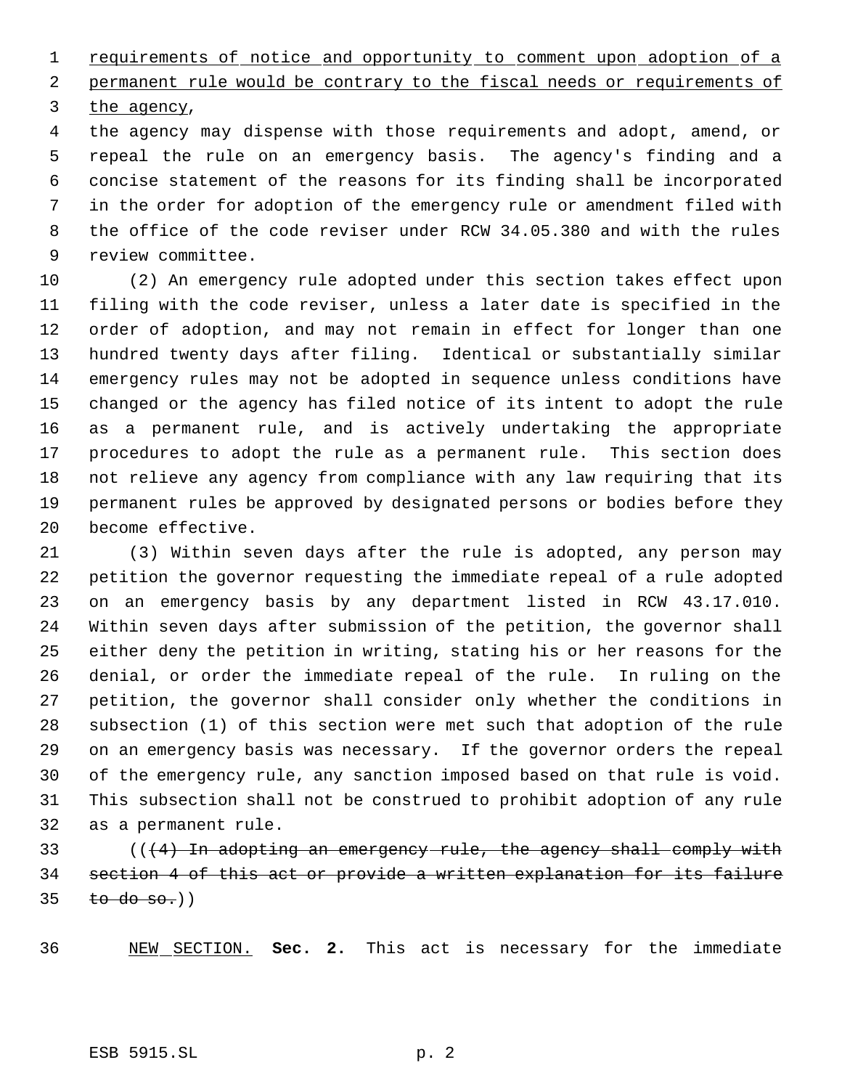1 requirements of notice and opportunity to comment upon adoption of a

 permanent rule would be contrary to the fiscal needs or requirements of the agency,

 the agency may dispense with those requirements and adopt, amend, or repeal the rule on an emergency basis. The agency's finding and a concise statement of the reasons for its finding shall be incorporated in the order for adoption of the emergency rule or amendment filed with the office of the code reviser under RCW 34.05.380 and with the rules review committee.

 (2) An emergency rule adopted under this section takes effect upon filing with the code reviser, unless a later date is specified in the order of adoption, and may not remain in effect for longer than one hundred twenty days after filing. Identical or substantially similar emergency rules may not be adopted in sequence unless conditions have changed or the agency has filed notice of its intent to adopt the rule as a permanent rule, and is actively undertaking the appropriate procedures to adopt the rule as a permanent rule. This section does not relieve any agency from compliance with any law requiring that its permanent rules be approved by designated persons or bodies before they become effective.

 (3) Within seven days after the rule is adopted, any person may petition the governor requesting the immediate repeal of a rule adopted on an emergency basis by any department listed in RCW 43.17.010. Within seven days after submission of the petition, the governor shall either deny the petition in writing, stating his or her reasons for the denial, or order the immediate repeal of the rule. In ruling on the petition, the governor shall consider only whether the conditions in subsection (1) of this section were met such that adoption of the rule on an emergency basis was necessary. If the governor orders the repeal of the emergency rule, any sanction imposed based on that rule is void. This subsection shall not be construed to prohibit adoption of any rule as a permanent rule.

33  $( (4)$  In adopting an emergency-rule, the agency shall comply with section 4 of this act or provide a written explanation for its failure to do so.))

NEW SECTION. **Sec. 2.** This act is necessary for the immediate